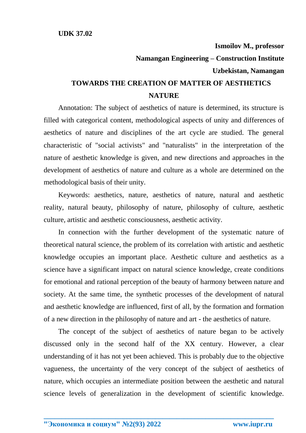## **Ismoilov M., professor Namangan Engineering – Construction Institute Uzbekistan, Namangan TOWARDS THE CREATION OF MATTER OF AESTHETICS NATURE**

Annotation: The subject of aesthetics of nature is determined, its structure is filled with categorical content, methodological aspects of unity and differences of aesthetics of nature and disciplines of the art cycle are studied. The general characteristic of "social activists" and "naturalists" in the interpretation of the nature of aesthetic knowledge is given, and new directions and approaches in the development of aesthetics of nature and culture as a whole are determined on the methodological basis of their unity.

Keywords: aesthetics, nature, aesthetics of nature, natural and aesthetic reality, natural beauty, philosophy of nature, philosophy of culture, aesthetic culture, artistic and aesthetic consciousness, aesthetic activity.

In connection with the further development of the systematic nature of theoretical natural science, the problem of its correlation with artistic and aesthetic knowledge occupies an important place. Aesthetic culture and aesthetics as a science have a significant impact on natural science knowledge, create conditions for emotional and rational perception of the beauty of harmony between nature and society. At the same time, the synthetic processes of the development of natural and aesthetic knowledge are influenced, first of all, by the formation and formation of a new direction in the philosophy of nature and art - the aesthetics of nature.

The concept of the subject of aesthetics of nature began to be actively discussed only in the second half of the XX century. However, a clear understanding of it has not yet been achieved. This is probably due to the objective vagueness, the uncertainty of the very concept of the subject of aesthetics of nature, which occupies an intermediate position between the aesthetic and natural science levels of generalization in the development of scientific knowledge.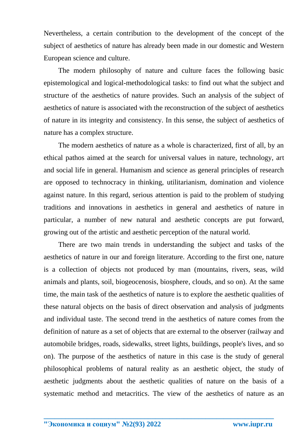Nevertheless, a certain contribution to the development of the concept of the subject of aesthetics of nature has already been made in our domestic and Western European science and culture.

The modern philosophy of nature and culture faces the following basic epistemological and logical-methodological tasks: to find out what the subject and structure of the aesthetics of nature provides. Such an analysis of the subject of aesthetics of nature is associated with the reconstruction of the subject of aesthetics of nature in its integrity and consistency. In this sense, the subject of aesthetics of nature has a complex structure.

The modern aesthetics of nature as a whole is characterized, first of all, by an ethical pathos aimed at the search for universal values in nature, technology, art and social life in general. Humanism and science as general principles of research are opposed to technocracy in thinking, utilitarianism, domination and violence against nature. In this regard, serious attention is paid to the problem of studying traditions and innovations in aesthetics in general and aesthetics of nature in particular, a number of new natural and aesthetic concepts are put forward, growing out of the artistic and aesthetic perception of the natural world.

There are two main trends in understanding the subject and tasks of the aesthetics of nature in our and foreign literature. According to the first one, nature is a collection of objects not produced by man (mountains, rivers, seas, wild animals and plants, soil, biogeocenosis, biosphere, clouds, and so on). At the same time, the main task of the aesthetics of nature is to explore the aesthetic qualities of these natural objects on the basis of direct observation and analysis of judgments and individual taste. The second trend in the aesthetics of nature comes from the definition of nature as a set of objects that are external to the observer (railway and automobile bridges, roads, sidewalks, street lights, buildings, people's lives, and so on). The purpose of the aesthetics of nature in this case is the study of general philosophical problems of natural reality as an aesthetic object, the study of aesthetic judgments about the aesthetic qualities of nature on the basis of a systematic method and metacritics. The view of the aesthetics of nature as an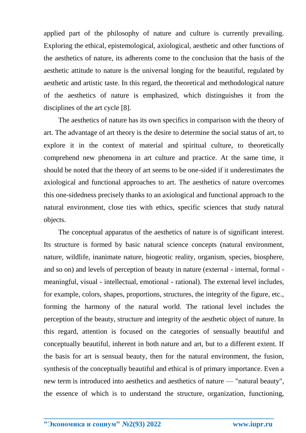applied part of the philosophy of nature and culture is currently prevailing. Exploring the ethical, epistemological, axiological, aesthetic and other functions of the aesthetics of nature, its adherents come to the conclusion that the basis of the aesthetic attitude to nature is the universal longing for the beautiful, regulated by aesthetic and artistic taste. In this regard, the theoretical and methodological nature of the aesthetics of nature is emphasized, which distinguishes it from the disciplines of the art cycle [8].

The aesthetics of nature has its own specifics in comparison with the theory of art. The advantage of art theory is the desire to determine the social status of art, to explore it in the context of material and spiritual culture, to theoretically comprehend new phenomena in art culture and practice. At the same time, it should be noted that the theory of art seems to be one-sided if it underestimates the axiological and functional approaches to art. The aesthetics of nature overcomes this one-sidedness precisely thanks to an axiological and functional approach to the natural environment, close ties with ethics, specific sciences that study natural objects.

The conceptual apparatus of the aesthetics of nature is of significant interest. Its structure is formed by basic natural science concepts (natural environment, nature, wildlife, inanimate nature, biogeotic reality, organism, species, biosphere, and so on) and levels of perception of beauty in nature (external - internal, formal meaningful, visual - intellectual, emotional - rational). The external level includes, for example, colors, shapes, proportions, structures, the integrity of the figure, etc., forming the harmony of the natural world. The rational level includes the perception of the beauty, structure and integrity of the aesthetic object of nature. In this regard, attention is focused on the categories of sensually beautiful and conceptually beautiful, inherent in both nature and art, but to a different extent. If the basis for art is sensual beauty, then for the natural environment, the fusion, synthesis of the conceptually beautiful and ethical is of primary importance. Even a new term is introduced into aesthetics and aesthetics of nature — "natural beauty", the essence of which is to understand the structure, organization, functioning,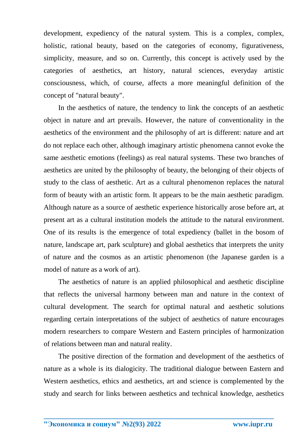development, expediency of the natural system. This is a complex, complex, holistic, rational beauty, based on the categories of economy, figurativeness, simplicity, measure, and so on. Currently, this concept is actively used by the categories of aesthetics, art history, natural sciences, everyday artistic consciousness, which, of course, affects a more meaningful definition of the concept of "natural beauty".

In the aesthetics of nature, the tendency to link the concepts of an aesthetic object in nature and art prevails. However, the nature of conventionality in the aesthetics of the environment and the philosophy of art is different: nature and art do not replace each other, although imaginary artistic phenomena cannot evoke the same aesthetic emotions (feelings) as real natural systems. These two branches of aesthetics are united by the philosophy of beauty, the belonging of their objects of study to the class of aesthetic. Art as a cultural phenomenon replaces the natural form of beauty with an artistic form. It appears to be the main aesthetic paradigm. Although nature as a source of aesthetic experience historically arose before art, at present art as a cultural institution models the attitude to the natural environment. One of its results is the emergence of total expediency (ballet in the bosom of nature, landscape art, park sculpture) and global aesthetics that interprets the unity of nature and the cosmos as an artistic phenomenon (the Japanese garden is a model of nature as a work of art).

The aesthetics of nature is an applied philosophical and aesthetic discipline that reflects the universal harmony between man and nature in the context of cultural development. The search for optimal natural and aesthetic solutions regarding certain interpretations of the subject of aesthetics of nature encourages modern researchers to compare Western and Eastern principles of harmonization of relations between man and natural reality.

The positive direction of the formation and development of the aesthetics of nature as a whole is its dialogicity. The traditional dialogue between Eastern and Western aesthetics, ethics and aesthetics, art and science is complemented by the study and search for links between aesthetics and technical knowledge, aesthetics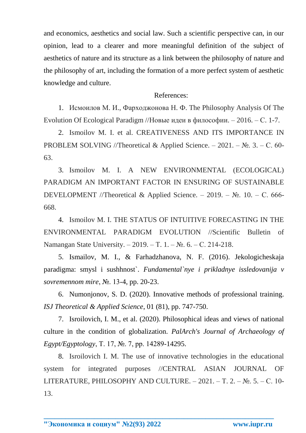and economics, aesthetics and social law. Such a scientific perspective can, in our opinion, lead to a clearer and more meaningful definition of the subject of aesthetics of nature and its structure as a link between the philosophy of nature and the philosophy of art, including the formation of a more perfect system of aesthetic knowledge and culture.

## References:

1. Исмоилов М. И., Фарходжонова Н. Ф. The Philosophy Analysis Of The Evolution Of Ecological Paradigm //Новые идеи в философии. – 2016. – С. 1-7.

2. Ismoilov M. I. et al. CREATIVENESS AND ITS IMPORTANCE IN PROBLEM SOLVING //Theoretical & Applied Science. – 2021. –  $\mathbb{N}_2$ . 3. – C. 60-63.

3. Ismoilov M. I. A NEW ENVIRONMENTAL (ECOLOGICAL) PARADIGM AN IMPORTANT FACTOR IN ENSURING OF SUSTAINABLE DEVELOPMENT //Theoretical & Applied Science. – 2019. – №. 10. – С. 666-668.

4. Ismoilov M. I. THE STATUS OF INTUITIVE FORECASTING IN THE ENVIRONMENTAL PARADIGM EVOLUTION //Scientific Bulletin of Namangan State University. – 2019. – Т. 1. – №. 6. – С. 214-218.

5. Ismailov, M. I., & Farhadzhanova, N. F. (2016). Jekologicheskaja paradigma: smysl i sushhnost`. *Fundamental`nye i prikladnye issledovanija v sovremennom mire*, №. 13-4, pp. 20-23.

6. Numonjonov, S. D. (2020). Innovative methods of professional training. *ISJ Theoretical & Applied Science*, 01 (81), pp. 747-750.

7. Isroilovich, I. M., et al. (2020). Philosophical ideas and views of national culture in the condition of globalization. *PalArch's Journal of Archaeology of Egypt/Egyptology*, Т. 17, №. 7, pp. 14289-14295.

8. Isroilovich I. M. The use of innovative technologies in the educational system for integrated purposes //CENTRAL ASIAN JOURNAL OF LITERATURE, PHILOSOPHY AND CULTURE.  $-2021$ .  $-$  T. 2.  $-$  No. 5.  $-$  C. 10-13.